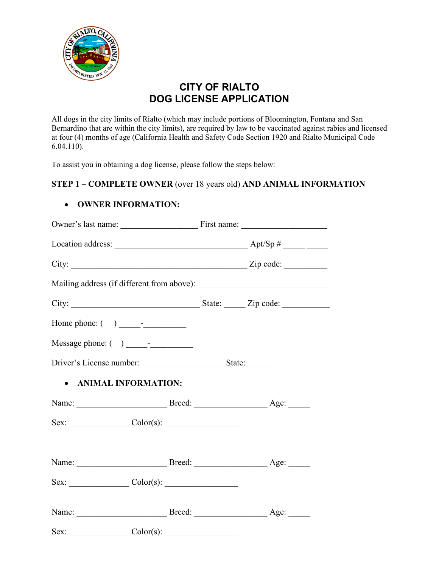

# **CITY OF RIALTO DOG LICENSE APPLICATION**

All dogs in the city limits of Rialto (which may include portions of Bloomington, Fontana and San Bernardino that are within the city limits), are required by law to be vaccinated against rabies and licensed at four (4) months of age (California Health and Safety Code Section 1920 and Rialto Municipal Code 6.04.110).

To assist you in obtaining a dog license, please follow the steps below:

### **STEP 1 – COMPLETE OWNER** (over 18 years old) **AND ANIMAL INFORMATION**

### • **OWNER INFORMATION:**

| Home phone: $\begin{pmatrix} 0 & 1 \\ 0 & 1 \end{pmatrix}$ |  |  |  |  |  |
|------------------------------------------------------------|--|--|--|--|--|
|                                                            |  |  |  |  |  |
| Driver's License number: State: State:                     |  |  |  |  |  |
| • ANIMAL INFORMATION:                                      |  |  |  |  |  |
|                                                            |  |  |  |  |  |
| $Sex:$ $\qquad \qquad \text{Color(s):}$                    |  |  |  |  |  |
|                                                            |  |  |  |  |  |
|                                                            |  |  |  |  |  |
|                                                            |  |  |  |  |  |
|                                                            |  |  |  |  |  |
|                                                            |  |  |  |  |  |